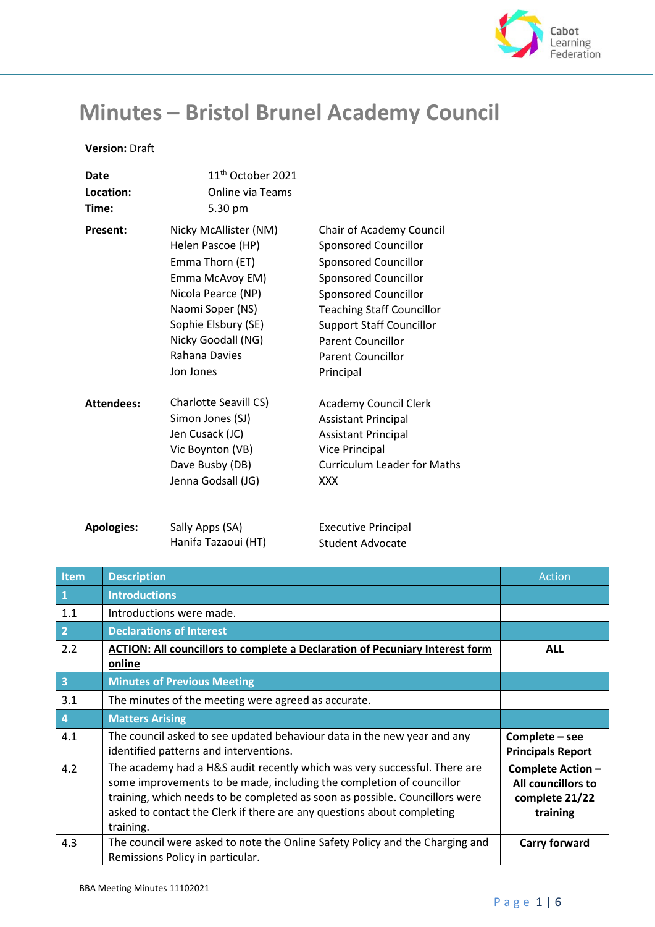

## **Minutes – Bristol Brunel Academy Council**

## **Version:** Draft

| Date              | 11 <sup>th</sup> October 2021                                                                                                                                                                         |                                                                                                                                                                                                                                                                                           |
|-------------------|-------------------------------------------------------------------------------------------------------------------------------------------------------------------------------------------------------|-------------------------------------------------------------------------------------------------------------------------------------------------------------------------------------------------------------------------------------------------------------------------------------------|
| Location:         | Online via Teams                                                                                                                                                                                      |                                                                                                                                                                                                                                                                                           |
| Time:             | 5.30 pm                                                                                                                                                                                               |                                                                                                                                                                                                                                                                                           |
| <b>Present:</b>   | Nicky McAllister (NM)<br>Helen Pascoe (HP)<br>Emma Thorn (ET)<br>Emma McAvoy EM)<br>Nicola Pearce (NP)<br>Naomi Soper (NS)<br>Sophie Elsbury (SE)<br>Nicky Goodall (NG)<br>Rahana Davies<br>Jon Jones | Chair of Academy Council<br>Sponsored Councillor<br><b>Sponsored Councillor</b><br><b>Sponsored Councillor</b><br><b>Sponsored Councillor</b><br><b>Teaching Staff Councillor</b><br><b>Support Staff Councillor</b><br><b>Parent Councillor</b><br><b>Parent Councillor</b><br>Principal |
| <b>Attendees:</b> | Charlotte Seavill CS)<br>Simon Jones (SJ)<br>Jen Cusack (JC)<br>Vic Boynton (VB)<br>Dave Busby (DB)<br>Jenna Godsall (JG)                                                                             | <b>Academy Council Clerk</b><br><b>Assistant Principal</b><br><b>Assistant Principal</b><br><b>Vice Principal</b><br><b>Curriculum Leader for Maths</b><br><b>XXX</b>                                                                                                                     |
| <b>Apologies:</b> | Sally Apps (SA)                                                                                                                                                                                       | <b>Executive Principal</b>                                                                                                                                                                                                                                                                |

Sally Apps (SA) Hanifa Tazaoui (HT) Executive Principal Student Advocate

| Item            | <b>Description</b>                                                                                                                                                                                                                                                                                                      | Action                                                                |
|-----------------|-------------------------------------------------------------------------------------------------------------------------------------------------------------------------------------------------------------------------------------------------------------------------------------------------------------------------|-----------------------------------------------------------------------|
| $\vert 1 \vert$ | <b>Introductions</b>                                                                                                                                                                                                                                                                                                    |                                                                       |
| 1.1             | Introductions were made.                                                                                                                                                                                                                                                                                                |                                                                       |
| $\vert$ 2       | <b>Declarations of Interest</b>                                                                                                                                                                                                                                                                                         |                                                                       |
| 2.2             | ACTION: All councillors to complete a Declaration of Pecuniary Interest form<br>online                                                                                                                                                                                                                                  | <b>ALL</b>                                                            |
| $\vert$ 3       | <b>Minutes of Previous Meeting</b>                                                                                                                                                                                                                                                                                      |                                                                       |
| 3.1             | The minutes of the meeting were agreed as accurate.                                                                                                                                                                                                                                                                     |                                                                       |
| $\overline{4}$  | <b>Matters Arising</b>                                                                                                                                                                                                                                                                                                  |                                                                       |
| 4.1             | The council asked to see updated behaviour data in the new year and any<br>identified patterns and interventions.                                                                                                                                                                                                       | Complete - see<br><b>Principals Report</b>                            |
| 4.2             | The academy had a H&S audit recently which was very successful. There are<br>some improvements to be made, including the completion of councillor<br>training, which needs to be completed as soon as possible. Councillors were<br>asked to contact the Clerk if there are any questions about completing<br>training. | Complete Action -<br>All councillors to<br>complete 21/22<br>training |
| 4.3             | The council were asked to note the Online Safety Policy and the Charging and<br>Remissions Policy in particular.                                                                                                                                                                                                        | <b>Carry forward</b>                                                  |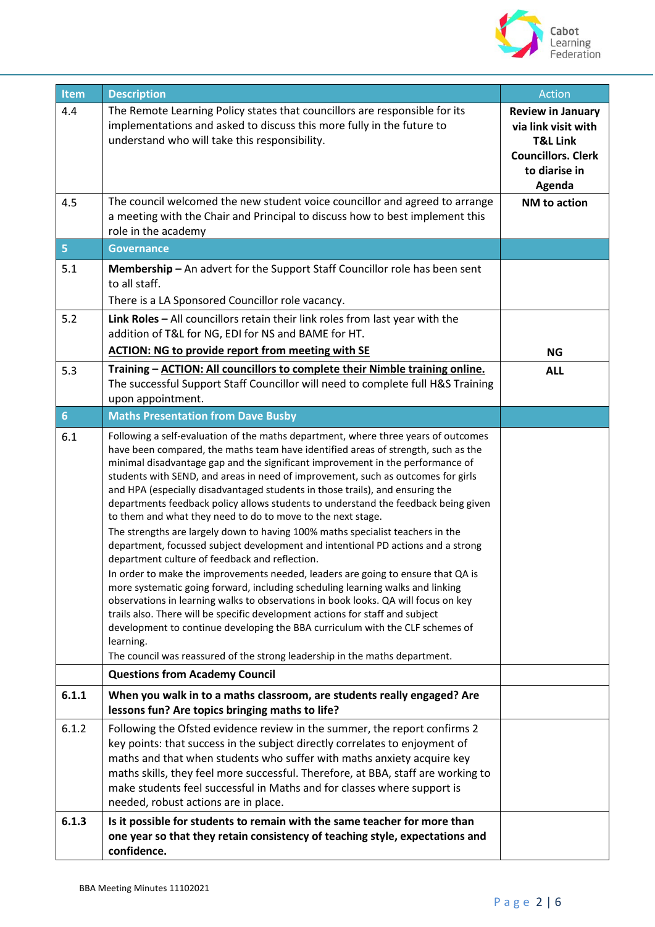

| Item                    | <b>Description</b>                                                                                                                                                                                                                                                                                                                                                                                                                                                                                                                                                                                                                                                                                                                                                                                                                                                                                                                                                                                                                                                                                                                                                                                                                                                                                                                    | Action                                                                                                                         |
|-------------------------|---------------------------------------------------------------------------------------------------------------------------------------------------------------------------------------------------------------------------------------------------------------------------------------------------------------------------------------------------------------------------------------------------------------------------------------------------------------------------------------------------------------------------------------------------------------------------------------------------------------------------------------------------------------------------------------------------------------------------------------------------------------------------------------------------------------------------------------------------------------------------------------------------------------------------------------------------------------------------------------------------------------------------------------------------------------------------------------------------------------------------------------------------------------------------------------------------------------------------------------------------------------------------------------------------------------------------------------|--------------------------------------------------------------------------------------------------------------------------------|
| 4.4                     | The Remote Learning Policy states that councillors are responsible for its<br>implementations and asked to discuss this more fully in the future to<br>understand who will take this responsibility.                                                                                                                                                                                                                                                                                                                                                                                                                                                                                                                                                                                                                                                                                                                                                                                                                                                                                                                                                                                                                                                                                                                                  | <b>Review in January</b><br>via link visit with<br><b>T&amp;L Link</b><br><b>Councillors. Clerk</b><br>to diarise in<br>Agenda |
| 4.5                     | The council welcomed the new student voice councillor and agreed to arrange<br>a meeting with the Chair and Principal to discuss how to best implement this<br>role in the academy                                                                                                                                                                                                                                                                                                                                                                                                                                                                                                                                                                                                                                                                                                                                                                                                                                                                                                                                                                                                                                                                                                                                                    | NM to action                                                                                                                   |
| $\overline{\mathbf{5}}$ | <b>Governance</b>                                                                                                                                                                                                                                                                                                                                                                                                                                                                                                                                                                                                                                                                                                                                                                                                                                                                                                                                                                                                                                                                                                                                                                                                                                                                                                                     |                                                                                                                                |
| 5.1                     | Membership - An advert for the Support Staff Councillor role has been sent<br>to all staff.<br>There is a LA Sponsored Councillor role vacancy.                                                                                                                                                                                                                                                                                                                                                                                                                                                                                                                                                                                                                                                                                                                                                                                                                                                                                                                                                                                                                                                                                                                                                                                       |                                                                                                                                |
| 5.2                     | Link Roles $-$ All councillors retain their link roles from last year with the<br>addition of T&L for NG, EDI for NS and BAME for HT.<br><b>ACTION: NG to provide report from meeting with SE</b>                                                                                                                                                                                                                                                                                                                                                                                                                                                                                                                                                                                                                                                                                                                                                                                                                                                                                                                                                                                                                                                                                                                                     | <b>NG</b>                                                                                                                      |
| 5.3                     | Training - ACTION: All councillors to complete their Nimble training online.<br>The successful Support Staff Councillor will need to complete full H&S Training<br>upon appointment.                                                                                                                                                                                                                                                                                                                                                                                                                                                                                                                                                                                                                                                                                                                                                                                                                                                                                                                                                                                                                                                                                                                                                  | <b>ALL</b>                                                                                                                     |
| $\overline{6}$          | <b>Maths Presentation from Dave Busby</b>                                                                                                                                                                                                                                                                                                                                                                                                                                                                                                                                                                                                                                                                                                                                                                                                                                                                                                                                                                                                                                                                                                                                                                                                                                                                                             |                                                                                                                                |
| 6.1                     | Following a self-evaluation of the maths department, where three years of outcomes<br>have been compared, the maths team have identified areas of strength, such as the<br>minimal disadvantage gap and the significant improvement in the performance of<br>students with SEND, and areas in need of improvement, such as outcomes for girls<br>and HPA (especially disadvantaged students in those trails), and ensuring the<br>departments feedback policy allows students to understand the feedback being given<br>to them and what they need to do to move to the next stage.<br>The strengths are largely down to having 100% maths specialist teachers in the<br>department, focussed subject development and intentional PD actions and a strong<br>department culture of feedback and reflection.<br>In order to make the improvements needed, leaders are going to ensure that QA is<br>more systematic going forward, including scheduling learning walks and linking<br>observations in learning walks to observations in book looks. QA will focus on key<br>trails also. There will be specific development actions for staff and subject<br>development to continue developing the BBA curriculum with the CLF schemes of<br>learning.<br>The council was reassured of the strong leadership in the maths department. |                                                                                                                                |
|                         | <b>Questions from Academy Council</b>                                                                                                                                                                                                                                                                                                                                                                                                                                                                                                                                                                                                                                                                                                                                                                                                                                                                                                                                                                                                                                                                                                                                                                                                                                                                                                 |                                                                                                                                |
| 6.1.1                   | When you walk in to a maths classroom, are students really engaged? Are<br>lessons fun? Are topics bringing maths to life?                                                                                                                                                                                                                                                                                                                                                                                                                                                                                                                                                                                                                                                                                                                                                                                                                                                                                                                                                                                                                                                                                                                                                                                                            |                                                                                                                                |
| 6.1.2                   | Following the Ofsted evidence review in the summer, the report confirms 2<br>key points: that success in the subject directly correlates to enjoyment of<br>maths and that when students who suffer with maths anxiety acquire key<br>maths skills, they feel more successful. Therefore, at BBA, staff are working to<br>make students feel successful in Maths and for classes where support is<br>needed, robust actions are in place.                                                                                                                                                                                                                                                                                                                                                                                                                                                                                                                                                                                                                                                                                                                                                                                                                                                                                             |                                                                                                                                |
| 6.1.3                   | Is it possible for students to remain with the same teacher for more than<br>one year so that they retain consistency of teaching style, expectations and<br>confidence.                                                                                                                                                                                                                                                                                                                                                                                                                                                                                                                                                                                                                                                                                                                                                                                                                                                                                                                                                                                                                                                                                                                                                              |                                                                                                                                |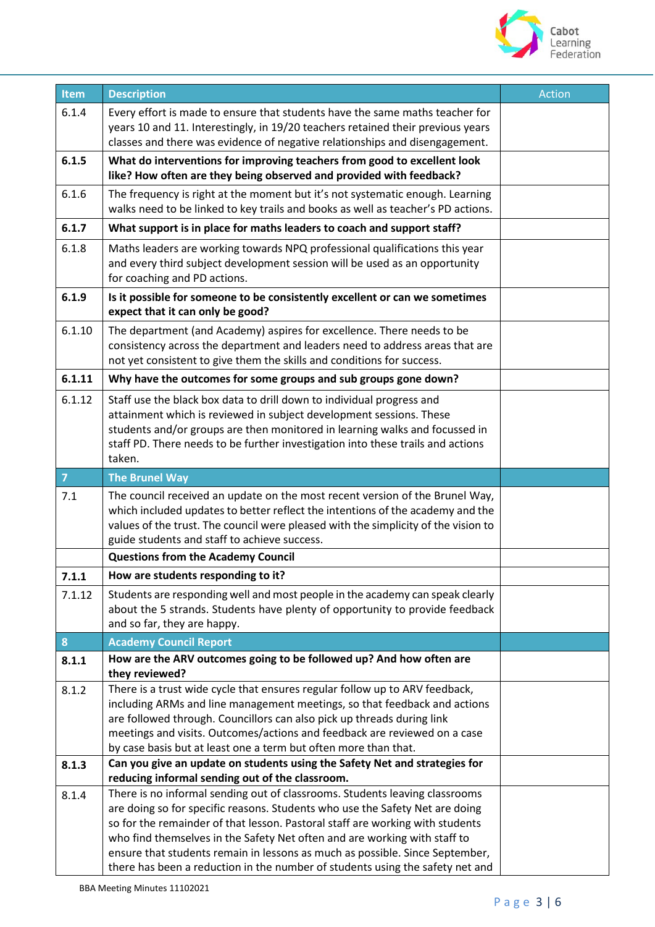

| Item           | <b>Description</b>                                                                                                                                                                                                                                                                                                                                                                                                                                           | <b>Action</b> |
|----------------|--------------------------------------------------------------------------------------------------------------------------------------------------------------------------------------------------------------------------------------------------------------------------------------------------------------------------------------------------------------------------------------------------------------------------------------------------------------|---------------|
| 6.1.4          | Every effort is made to ensure that students have the same maths teacher for                                                                                                                                                                                                                                                                                                                                                                                 |               |
|                | years 10 and 11. Interestingly, in 19/20 teachers retained their previous years                                                                                                                                                                                                                                                                                                                                                                              |               |
|                | classes and there was evidence of negative relationships and disengagement.                                                                                                                                                                                                                                                                                                                                                                                  |               |
| 6.1.5          | What do interventions for improving teachers from good to excellent look<br>like? How often are they being observed and provided with feedback?                                                                                                                                                                                                                                                                                                              |               |
|                |                                                                                                                                                                                                                                                                                                                                                                                                                                                              |               |
| 6.1.6          | The frequency is right at the moment but it's not systematic enough. Learning<br>walks need to be linked to key trails and books as well as teacher's PD actions.                                                                                                                                                                                                                                                                                            |               |
| 6.1.7          | What support is in place for maths leaders to coach and support staff?                                                                                                                                                                                                                                                                                                                                                                                       |               |
| 6.1.8          | Maths leaders are working towards NPQ professional qualifications this year<br>and every third subject development session will be used as an opportunity<br>for coaching and PD actions.                                                                                                                                                                                                                                                                    |               |
| 6.1.9          | Is it possible for someone to be consistently excellent or can we sometimes<br>expect that it can only be good?                                                                                                                                                                                                                                                                                                                                              |               |
| 6.1.10         | The department (and Academy) aspires for excellence. There needs to be<br>consistency across the department and leaders need to address areas that are<br>not yet consistent to give them the skills and conditions for success.                                                                                                                                                                                                                             |               |
| 6.1.11         | Why have the outcomes for some groups and sub groups gone down?                                                                                                                                                                                                                                                                                                                                                                                              |               |
| 6.1.12         | Staff use the black box data to drill down to individual progress and<br>attainment which is reviewed in subject development sessions. These<br>students and/or groups are then monitored in learning walks and focussed in<br>staff PD. There needs to be further investigation into these trails and actions<br>taken.                                                                                                                                     |               |
| $\overline{7}$ | <b>The Brunel Way</b>                                                                                                                                                                                                                                                                                                                                                                                                                                        |               |
| 7.1            | The council received an update on the most recent version of the Brunel Way,<br>which included updates to better reflect the intentions of the academy and the<br>values of the trust. The council were pleased with the simplicity of the vision to<br>guide students and staff to achieve success.                                                                                                                                                         |               |
|                | <b>Questions from the Academy Council</b>                                                                                                                                                                                                                                                                                                                                                                                                                    |               |
| 7.1.1          | How are students responding to it?                                                                                                                                                                                                                                                                                                                                                                                                                           |               |
| 7.1.12         | Students are responding well and most people in the academy can speak clearly<br>about the 5 strands. Students have plenty of opportunity to provide feedback<br>and so far, they are happy.                                                                                                                                                                                                                                                                 |               |
| ${\bf 8}$      | <b>Academy Council Report</b>                                                                                                                                                                                                                                                                                                                                                                                                                                |               |
| 8.1.1          | How are the ARV outcomes going to be followed up? And how often are<br>they reviewed?                                                                                                                                                                                                                                                                                                                                                                        |               |
| 8.1.2          | There is a trust wide cycle that ensures regular follow up to ARV feedback,<br>including ARMs and line management meetings, so that feedback and actions<br>are followed through. Councillors can also pick up threads during link<br>meetings and visits. Outcomes/actions and feedback are reviewed on a case<br>by case basis but at least one a term but often more than that.                                                                           |               |
| 8.1.3          | Can you give an update on students using the Safety Net and strategies for                                                                                                                                                                                                                                                                                                                                                                                   |               |
| 8.1.4          | reducing informal sending out of the classroom.<br>There is no informal sending out of classrooms. Students leaving classrooms<br>are doing so for specific reasons. Students who use the Safety Net are doing<br>so for the remainder of that lesson. Pastoral staff are working with students<br>who find themselves in the Safety Net often and are working with staff to<br>ensure that students remain in lessons as much as possible. Since September, |               |
|                | there has been a reduction in the number of students using the safety net and                                                                                                                                                                                                                                                                                                                                                                                |               |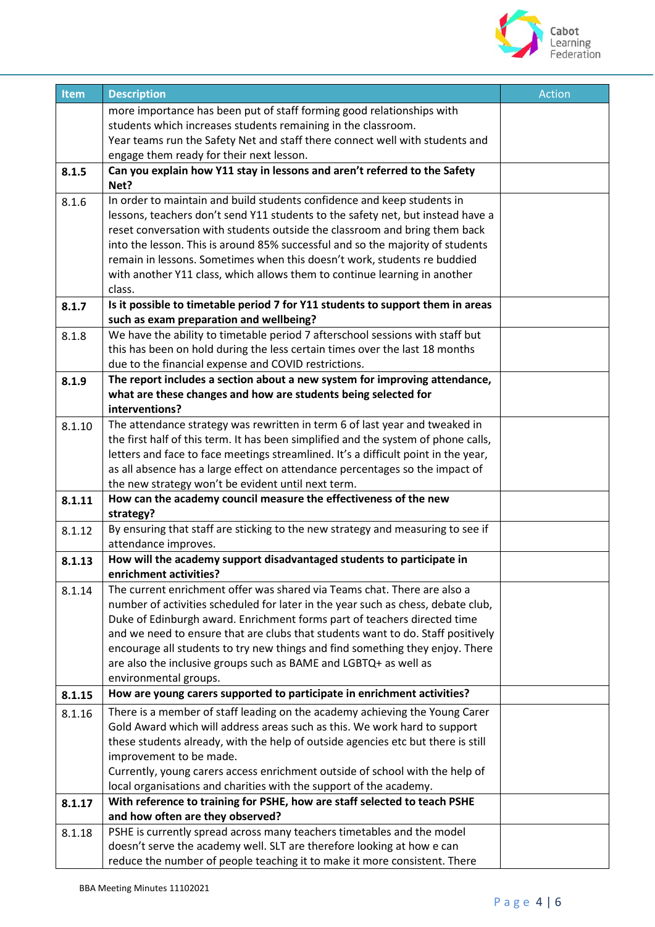

| Item   | <b>Description</b>                                                                                      | <b>Action</b> |
|--------|---------------------------------------------------------------------------------------------------------|---------------|
|        | more importance has been put of staff forming good relationships with                                   |               |
|        | students which increases students remaining in the classroom.                                           |               |
|        | Year teams run the Safety Net and staff there connect well with students and                            |               |
|        | engage them ready for their next lesson.                                                                |               |
| 8.1.5  | Can you explain how Y11 stay in lessons and aren't referred to the Safety                               |               |
|        | Net?                                                                                                    |               |
| 8.1.6  | In order to maintain and build students confidence and keep students in                                 |               |
|        | lessons, teachers don't send Y11 students to the safety net, but instead have a                         |               |
|        | reset conversation with students outside the classroom and bring them back                              |               |
|        | into the lesson. This is around 85% successful and so the majority of students                          |               |
|        | remain in lessons. Sometimes when this doesn't work, students re buddied                                |               |
|        | with another Y11 class, which allows them to continue learning in another                               |               |
|        | class.                                                                                                  |               |
| 8.1.7  | Is it possible to timetable period 7 for Y11 students to support them in areas                          |               |
|        | such as exam preparation and wellbeing?                                                                 |               |
| 8.1.8  | We have the ability to timetable period 7 afterschool sessions with staff but                           |               |
|        | this has been on hold during the less certain times over the last 18 months                             |               |
|        | due to the financial expense and COVID restrictions.                                                    |               |
| 8.1.9  | The report includes a section about a new system for improving attendance,                              |               |
|        | what are these changes and how are students being selected for                                          |               |
|        | interventions?                                                                                          |               |
| 8.1.10 | The attendance strategy was rewritten in term 6 of last year and tweaked in                             |               |
|        | the first half of this term. It has been simplified and the system of phone calls,                      |               |
|        | letters and face to face meetings streamlined. It's a difficult point in the year,                      |               |
|        | as all absence has a large effect on attendance percentages so the impact of                            |               |
|        | the new strategy won't be evident until next term.                                                      |               |
| 8.1.11 | How can the academy council measure the effectiveness of the new                                        |               |
|        | strategy?                                                                                               |               |
| 8.1.12 | By ensuring that staff are sticking to the new strategy and measuring to see if<br>attendance improves. |               |
| 8.1.13 | How will the academy support disadvantaged students to participate in                                   |               |
|        | enrichment activities?                                                                                  |               |
| 8.1.14 | The current enrichment offer was shared via Teams chat. There are also a                                |               |
|        | number of activities scheduled for later in the year such as chess, debate club,                        |               |
|        | Duke of Edinburgh award. Enrichment forms part of teachers directed time                                |               |
|        | and we need to ensure that are clubs that students want to do. Staff positively                         |               |
|        | encourage all students to try new things and find something they enjoy. There                           |               |
|        | are also the inclusive groups such as BAME and LGBTQ+ as well as                                        |               |
|        | environmental groups.                                                                                   |               |
| 8.1.15 | How are young carers supported to participate in enrichment activities?                                 |               |
| 8.1.16 | There is a member of staff leading on the academy achieving the Young Carer                             |               |
|        | Gold Award which will address areas such as this. We work hard to support                               |               |
|        | these students already, with the help of outside agencies etc but there is still                        |               |
|        | improvement to be made.                                                                                 |               |
|        | Currently, young carers access enrichment outside of school with the help of                            |               |
|        | local organisations and charities with the support of the academy.                                      |               |
| 8.1.17 | With reference to training for PSHE, how are staff selected to teach PSHE                               |               |
|        | and how often are they observed?                                                                        |               |
| 8.1.18 | PSHE is currently spread across many teachers timetables and the model                                  |               |
|        | doesn't serve the academy well. SLT are therefore looking at how e can                                  |               |
|        | reduce the number of people teaching it to make it more consistent. There                               |               |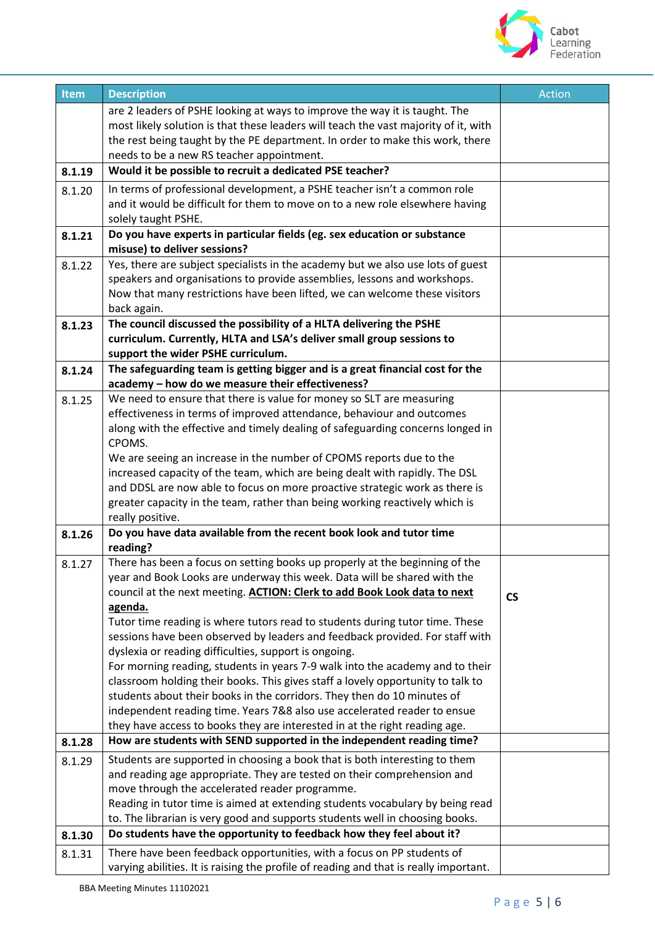

| Item   | <b>Description</b>                                                                                                                                          | <b>Action</b>            |
|--------|-------------------------------------------------------------------------------------------------------------------------------------------------------------|--------------------------|
|        | are 2 leaders of PSHE looking at ways to improve the way it is taught. The                                                                                  |                          |
|        | most likely solution is that these leaders will teach the vast majority of it, with                                                                         |                          |
|        | the rest being taught by the PE department. In order to make this work, there                                                                               |                          |
|        | needs to be a new RS teacher appointment.                                                                                                                   |                          |
| 8.1.19 | Would it be possible to recruit a dedicated PSE teacher?                                                                                                    |                          |
| 8.1.20 | In terms of professional development, a PSHE teacher isn't a common role                                                                                    |                          |
|        | and it would be difficult for them to move on to a new role elsewhere having                                                                                |                          |
|        | solely taught PSHE.                                                                                                                                         |                          |
| 8.1.21 | Do you have experts in particular fields (eg. sex education or substance                                                                                    |                          |
|        | misuse) to deliver sessions?                                                                                                                                |                          |
| 8.1.22 | Yes, there are subject specialists in the academy but we also use lots of guest<br>speakers and organisations to provide assemblies, lessons and workshops. |                          |
|        | Now that many restrictions have been lifted, we can welcome these visitors                                                                                  |                          |
|        | back again.                                                                                                                                                 |                          |
| 8.1.23 | The council discussed the possibility of a HLTA delivering the PSHE                                                                                         |                          |
|        | curriculum. Currently, HLTA and LSA's deliver small group sessions to                                                                                       |                          |
|        | support the wider PSHE curriculum.                                                                                                                          |                          |
| 8.1.24 | The safeguarding team is getting bigger and is a great financial cost for the                                                                               |                          |
|        | academy - how do we measure their effectiveness?                                                                                                            |                          |
| 8.1.25 | We need to ensure that there is value for money so SLT are measuring                                                                                        |                          |
|        | effectiveness in terms of improved attendance, behaviour and outcomes                                                                                       |                          |
|        | along with the effective and timely dealing of safeguarding concerns longed in<br>CPOMS.                                                                    |                          |
|        | We are seeing an increase in the number of CPOMS reports due to the                                                                                         |                          |
|        | increased capacity of the team, which are being dealt with rapidly. The DSL                                                                                 |                          |
|        | and DDSL are now able to focus on more proactive strategic work as there is                                                                                 |                          |
|        | greater capacity in the team, rather than being working reactively which is                                                                                 |                          |
|        | really positive.                                                                                                                                            |                          |
| 8.1.26 | Do you have data available from the recent book look and tutor time<br>reading?                                                                             |                          |
| 8.1.27 | There has been a focus on setting books up properly at the beginning of the                                                                                 |                          |
|        | year and Book Looks are underway this week. Data will be shared with the                                                                                    |                          |
|        | council at the next meeting. ACTION: Clerk to add Book Look data to next                                                                                    | $\mathsf{CS}\phantom{0}$ |
|        | agenda.                                                                                                                                                     |                          |
|        | Tutor time reading is where tutors read to students during tutor time. These                                                                                |                          |
|        | sessions have been observed by leaders and feedback provided. For staff with                                                                                |                          |
|        | dyslexia or reading difficulties, support is ongoing.                                                                                                       |                          |
|        | For morning reading, students in years 7-9 walk into the academy and to their                                                                               |                          |
|        | classroom holding their books. This gives staff a lovely opportunity to talk to<br>students about their books in the corridors. They then do 10 minutes of  |                          |
|        | independent reading time. Years 7&8 also use accelerated reader to ensue                                                                                    |                          |
|        | they have access to books they are interested in at the right reading age.                                                                                  |                          |
| 8.1.28 | How are students with SEND supported in the independent reading time?                                                                                       |                          |
| 8.1.29 | Students are supported in choosing a book that is both interesting to them                                                                                  |                          |
|        | and reading age appropriate. They are tested on their comprehension and                                                                                     |                          |
|        | move through the accelerated reader programme.                                                                                                              |                          |
|        | Reading in tutor time is aimed at extending students vocabulary by being read                                                                               |                          |
|        | to. The librarian is very good and supports students well in choosing books.                                                                                |                          |
| 8.1.30 | Do students have the opportunity to feedback how they feel about it?                                                                                        |                          |
| 8.1.31 | There have been feedback opportunities, with a focus on PP students of                                                                                      |                          |
|        | varying abilities. It is raising the profile of reading and that is really important.                                                                       |                          |